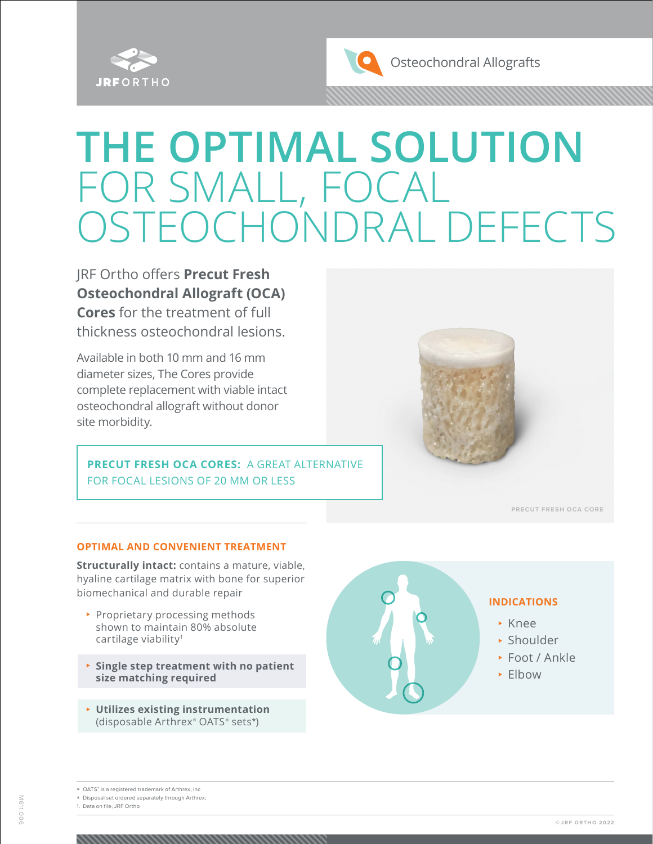

# **THE OPTIMAL SOLUTION** FOR SMALL, FOCAL OSTEOCHONDRAL DEFECTS

JRF Ortho offers **Precut Fresh Osteochondral Allograft (OCA) Cores** for the treatment of full thickness osteochondral lesions.

Available in both 10 mm and 16 mm diameter sizes, The Cores provide complete replacement with viable intact osteochondral allograft without donor site morbidity.

**PRECUT FRESH OCA CORES:** A GREAT ALTERNATIVE FOR FOCAL LESIONS OF 20 MM OR LESS



**PRECUT FRESH OCA CORE**

#### **OPTIMAL AND CONVENIENT TREATMENT**

**Structurally intact:** contains a mature, viable, hyaline cartilage matrix with bone for superior biomechanical and durable repair

- ▶ Proprietary processing methods shown to maintain 80% absolute cartilage viability<sup>1</sup>
- <sup>⊲</sup> **Single step treatment with no patient size matching required**
- <sup>⊲</sup> **Utilizes existing instrumentation**  (disposable Arthrex® OATS ® sets**\***)



\* Disposal set ordered separately through Arthrex;

1. Data on file, JRF Ortho